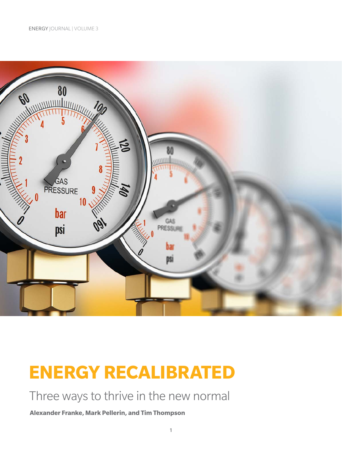

# **ENERGY RECALIBRATED**

## Three ways to thrive in the new normal

**Alexander Franke, Mark Pellerin, and Tim Thompson**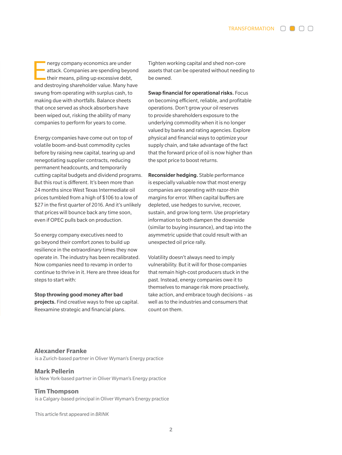TRANSFORMATION  $\Box$   $\Box$   $\Box$ 

nergy company economics are under<br>
attack. Companies are spending beyor<br>
their means, piling up excessive debt,<br>
and destroing shareholder uplue. Many beyo attack. Companies are spending beyond and destroying shareholder value. Many have swung from operating with surplus cash, to making due with shortfalls. Balance sheets that once served as shock absorbers have been wiped out, risking the ability of many companies to perform for years to come.

Energy companies have come out on top of volatile boom-and-bust commodity cycles before by raising new capital, tearing up and renegotiating supplier contracts, reducing permanent headcounts, and temporarily cutting capital budgets and dividend programs. But this rout is different. It's been more than 24 months since West Texas Intermediate oil prices tumbled from a high of \$106 to a low of \$27 in the first quarter of 2016. And it's unlikely that prices will bounce back any time soon, even if OPEC pulls back on production.

So energy company executives need to go beyond their comfort zones to build up resilience in the extraordinary times they now operate in. The industry has been recalibrated. Now companies need to revamp in order to continue to thrive in it. Here are three ideas for steps to start with:

#### Stop throwing good money after bad

projects. Find creative ways to free up capital. Reexamine strategic and financial plans.

Tighten working capital and shed non-core assets that can be operated without needing to be owned.

Swap financial for operational risks. Focus on becoming efficient, reliable, and profitable operations. Don't grow your oil reserves to provide shareholders exposure to the underlying commodity when it is no longer valued by banks and rating agencies. Explore physical and financial ways to optimize your supply chain, and take advantage of the fact that the forward price of oil is now higher than the spot price to boost returns.

Reconsider hedging. Stable performance is especially valuable now that most energy companies are operating with razor-thin margins for error. When capital buffers are depleted, use hedges to survive, recover, sustain, and grow long term. Use proprietary information to both dampen the downside (similar to buying insurance), and tap into the asymmetric upside that could result with an unexpected oil price rally.

Volatility doesn't always need to imply vulnerability. But it will for those companies that remain high-cost producers stuck in the past. Instead, energy companies owe it to themselves to manage risk more proactively, take action, and embrace tough decisions – as well as to the industries and consumers that count on them.

#### **Alexander Franke**

is a Zurich-based partner in Oliver Wyman's Energy practice

#### **Mark Pellerin**

is New York-based partner in Oliver Wyman's Energy practice

#### **Tim Thompson**

is a Calgary-based principal in Oliver Wyman's Energy practice

This article first appeared in *BRINK*